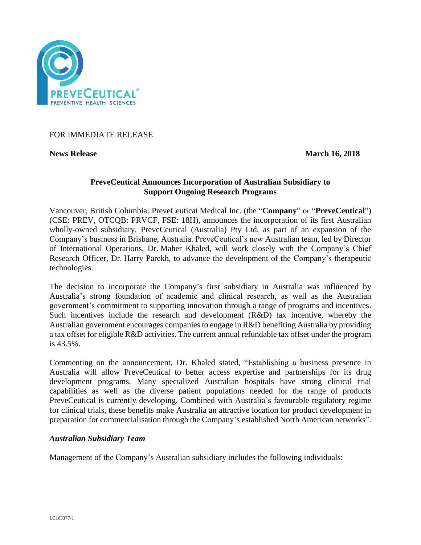

FOR IMMEDIATE RELEASE

**News Release March 16, 2018** 

# **PreveCeutical Announces Incorporation of Australian Subsidiary to Support Ongoing Research Programs**

Vancouver, British Columbia: PreveCeutical Medical Inc. (the "**Company**" or "**PreveCeutical**") (CSE: PREV, OTCQB: PRVCF, FSE: 18H), announces the incorporation of its first Australian wholly-owned subsidiary, PreveCeutical (Australia) Pty Ltd, as part of an expansion of the Company's business in Brisbane, Australia. PreveCeutical's new Australian team, led by Director of International Operations, Dr. Maher Khaled, will work closely with the Company's Chief Research Officer, Dr. Harry Parekh, to advance the development of the Company's therapeutic technologies.

The decision to incorporate the Company's first subsidiary in Australia was influenced by Australia's strong foundation of academic and clinical research, as well as the Australian government's commitment to supporting innovation through a range of programs and incentives. Such incentives include the research and development (R&D) tax incentive, whereby the Australian government encourages companies to engage in R&D benefiting Australia by providing a tax offset for eligible R&D activities. The current annual refundable tax offset under the program is 43.5%.

Commenting on the announcement, Dr. Khaled stated, "Establishing a business presence in Australia will allow PreveCeutical to better access expertise and partnerships for its drug development programs. Many specialized Australian hospitals have strong clinical trial capabilities as well as the diverse patient populations needed for the range of products PreveCeutical is currently developing. Combined with Australia's favourable regulatory regime for clinical trials, these benefits make Australia an attractive location for product development in preparation for commercialisation through the Company's established North American networks".

## *Australian Subsidiary Team*

Management of the Company's Australian subsidiary includes the following individuals: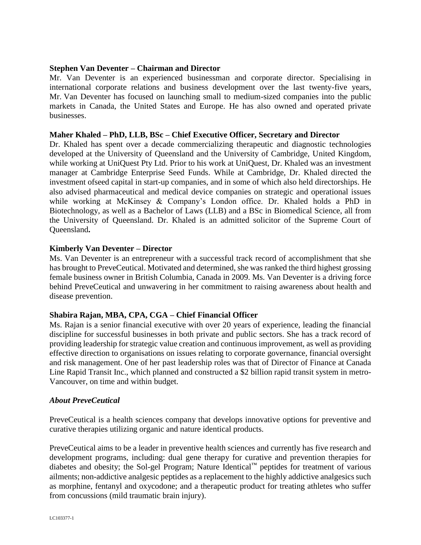## **Stephen Van Deventer – Chairman and Director**

Mr. Van Deventer is an experienced businessman and corporate director. Specialising in international corporate relations and business development over the last twenty-five years, Mr. Van Deventer has focused on launching small to medium-sized companies into the public markets in Canada, the United States and Europe. He has also owned and operated private businesses.

#### **Maher Khaled – PhD, LLB, BSc – Chief Executive Officer, Secretary and Director**

Dr. Khaled has spent over a decade commercializing therapeutic and diagnostic technologies developed at the University of Queensland and the University of Cambridge, United Kingdom, while working at UniQuest Pty Ltd. Prior to his work at UniQuest, Dr. Khaled was an investment manager at Cambridge Enterprise Seed Funds. While at Cambridge, Dr. Khaled directed the investment ofseed capital in start-up companies, and in some of which also held directorships. He also advised pharmaceutical and medical device companies on strategic and operational issues while working at McKinsey & Company's London office. Dr. Khaled holds a PhD in Biotechnology, as well as a Bachelor of Laws (LLB) and a BSc in Biomedical Science, all from the University of Queensland. Dr. Khaled is an admitted solicitor of the Supreme Court of Queensland**.**

#### **Kimberly Van Deventer – Director**

Ms. Van Deventer is an entrepreneur with a successful track record of accomplishment that she has brought to PreveCeutical. Motivated and determined, she was ranked the third highest grossing female business owner in British Columbia, Canada in 2009. Ms. Van Deventer is a driving force behind PreveCeutical and unwavering in her commitment to raising awareness about health and disease prevention.

## **Shabira Rajan, MBA, CPA, CGA – Chief Financial Officer**

Ms. Rajan is a senior financial executive with over 20 years of experience, leading the financial discipline for successful businesses in both private and public sectors. She has a track record of providing leadership for strategic value creation and continuous improvement, as well as providing effective direction to organisations on issues relating to corporate governance, financial oversight and risk management. One of her past leadership roles was that of Director of Finance at Canada Line Rapid Transit Inc., which planned and constructed a \$2 billion rapid transit system in metro-Vancouver, on time and within budget.

#### *About PreveCeutical*

PreveCeutical is a health sciences company that develops innovative options for preventive and curative therapies utilizing organic and nature identical products.

PreveCeutical aims to be a leader in preventive health sciences and currently has five research and development programs, including: dual gene therapy for curative and prevention therapies for diabetes and obesity; the Sol-gel Program; Nature Identical™ peptides for treatment of various ailments; non-addictive analgesic peptides as a replacement to the highly addictive analgesics such as morphine, fentanyl and oxycodone; and a therapeutic product for treating athletes who suffer from concussions (mild traumatic brain injury).